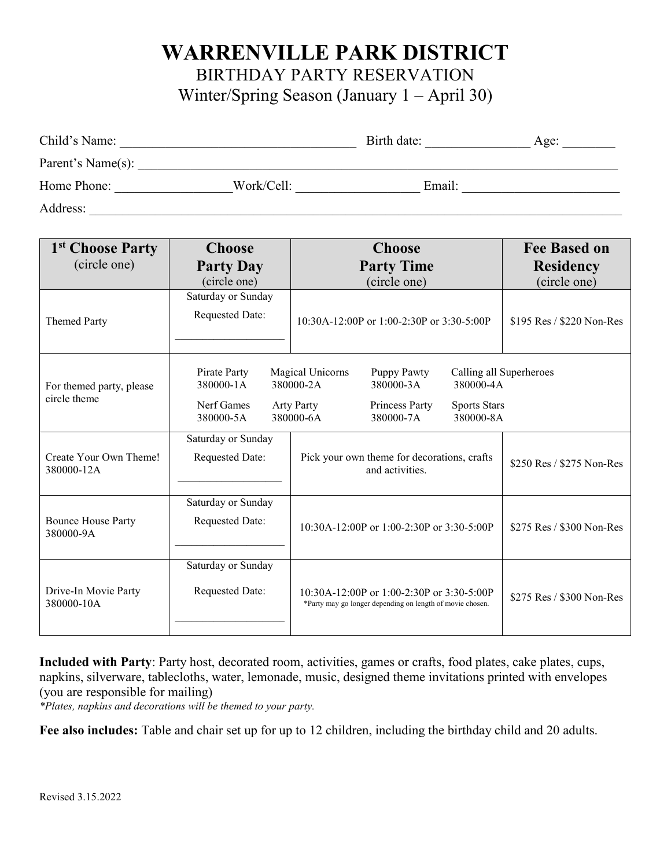## **WARRENVILLE PARK DISTRICT**

BIRTHDAY PARTY RESERVATION

Winter/Spring Season (January 1 – April 30)

| Child's Name:     |            | Birth date: | Age: |
|-------------------|------------|-------------|------|
| Parent's Name(s): |            |             |      |
| Home Phone:       | Work/Cell: | Email:      |      |
| Address:          |            |             |      |

| 1 <sup>st</sup> Choose Party             | <b>Choose</b>                                        | <b>Choose</b>                                                                                                                                                                                          | <b>Fee Based on</b>       |
|------------------------------------------|------------------------------------------------------|--------------------------------------------------------------------------------------------------------------------------------------------------------------------------------------------------------|---------------------------|
| (circle one)                             | <b>Party Day</b>                                     | <b>Party Time</b>                                                                                                                                                                                      | <b>Residency</b>          |
|                                          | (circle one)                                         | (circle one)                                                                                                                                                                                           | (circle one)              |
| <b>Themed Party</b>                      | Saturday or Sunday<br>Requested Date:                | $10:30A-12:00P$ or 1:00-2:30P or 3:30-5:00P                                                                                                                                                            | \$195 Res / \$220 Non-Res |
| For themed party, please<br>circle theme | Pirate Party<br>380000-1A<br>Nerf Games<br>380000-5A | Magical Unicorns<br>Puppy Pawty<br>Calling all Superheroes<br>380000-2A<br>380000-3A<br>380000-4A<br><b>Arty Party</b><br>Princess Party<br><b>Sports Stars</b><br>380000-8A<br>380000-6A<br>380000-7A |                           |
| Create Your Own Theme!<br>380000-12A     | Saturday or Sunday<br><b>Requested Date:</b>         | Pick your own theme for decorations, crafts<br>and activities.                                                                                                                                         | \$250 Res / \$275 Non-Res |
| <b>Bounce House Party</b><br>380000-9A   | Saturday or Sunday<br><b>Requested Date:</b>         | $10:30A-12:00P$ or $1:00-2:30P$ or $3:30-5:00P$                                                                                                                                                        | \$275 Res / \$300 Non-Res |
| Drive-In Movie Party<br>380000-10A       | Saturday or Sunday<br><b>Requested Date:</b>         | $10:30A-12:00P$ or $1:00-2:30P$ or $3:30-5:00P$<br>*Party may go longer depending on length of movie chosen.                                                                                           | \$275 Res / \$300 Non-Res |

**Included with Party**: Party host, decorated room, activities, games or crafts, food plates, cake plates, cups, napkins, silverware, tablecloths, water, lemonade, music, designed theme invitations printed with envelopes (you are responsible for mailing)

*\*Plates, napkins and decorations will be themed to your party.*

**Fee also includes:** Table and chair set up for up to 12 children, including the birthday child and 20 adults.